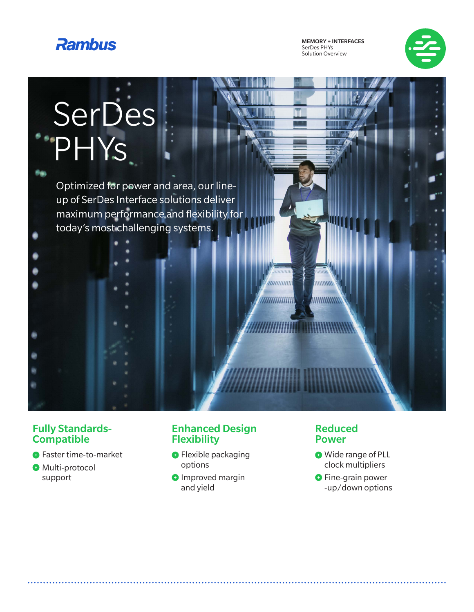

MEMORY + INTERFACES SerDes PHYs Solution Overview



# SerDes PHYs

Optimized for power and area, our lineup of SerDes Interface solutions deliver maximum performance and flexibility for today's most challenging systems.

#### Fully Standards-**Compatible**

- **O** Faster time-to-market
- **O** Multi-protocol support

#### Enhanced Design **Flexibility**

- **•** Flexible packaging options
- **O** Improved margin and yield

#### Reduced Power

 $111111111$ 

**ANNIHINNIN** 

,,,,,,,,,,,,,

*IIIIIIIIIIIIIII* 

- **O** Wide range of PLL clock multipliers
- **O** Fine-grain power -up/down options